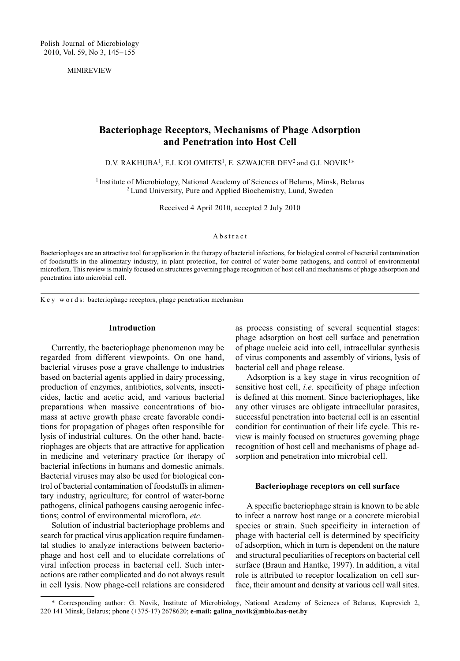MINIREVIEW

# Bacteriophage Receptors, Mechanisms of Phage Adsorption and Penetration into Host Cell

D.V. RAKHUBA<sup>1</sup>, E.I. KOLOMIETS<sup>1</sup>, E. SZWAJCER DEY<sup>2</sup> and G.I. NOVIK<sup>1\*</sup>

<sup>1</sup> Institute of Microbiology, National Academy of Sciences of Belarus, Minsk, Belarus 2Lund University, Pure and Applied Biochemistry, Lund, Sweden

Received 4 April 2010, accepted 2 July 2010

## Abstract

Bacteriophages are an attractive tool for application in the therapy of bacterial infections, for biological control of bacterial contamination of foodstuffs in the alimentary industry, in plant protection, for control of water-borne pathogens, and control of environmental microflora. This review is mainly focused on structures governing phage recognition of host cell and mechanisms of phage adsorption and penetration into microbial cell.

K e y w o r d s: bacteriophage receptors, phage penetration mechanism

#### Introduction

Currently, the bacteriophage phenomenon may be regarded from different viewpoints. On one hand, bacterial viruses pose a grave challenge to industries based on bacterial agents applied in dairy processing, production of enzymes, antibiotics, solvents, insecticides, lactic and acetic acid, and various bacterial preparations when massive concentrations of biomass at active growth phase create favorable conditions for propagation of phages often responsible for lysis of industrial cultures. On the other hand, bacteriophages are objects that are attractive for application in medicine and veterinary practice for therapy of bacterial infections in humans and domestic animals. Bacterial viruses may also be used for biological control of bacterial contamination of foodstuffs in alimentary industry, agriculture; for control of water-borne pathogens, clinical pathogens causing aerogenic infections; control of environmental microflora, etc.

Solution of industrial bacteriophage problems and search for practical virus application require fundamental studies to analyze interactions between bacteriophage and host cell and to elucidate correlations of viral infection process in bacterial cell. Such interactions are rather complicated and do not always result in cell lysis. Now phage-cell relations are considered as process consisting of several sequential stages: phage adsorption on host cell surface and penetration of phage nucleic acid into cell, intracellular synthesis of virus components and assembly of virions, lysis of bacterial cell and phage release.

Adsorption is a key stage in virus recognition of sensitive host cell, i.e. specificity of phage infection is defined at this moment. Since bacteriophages, like any other viruses are obligate intracellular parasites, successful penetration into bacterial cell is an essential condition for continuation of their life cycle. This review is mainly focused on structures governing phage recognition of host cell and mechanisms of phage adsorption and penetration into microbial cell.

### Bacteriophage receptors on cell surface

A specific bacteriophage strain is known to be able to infect a narrow host range or a concrete microbial species or strain. Such specificity in interaction of phage with bacterial cell is determined by specificity of adsorption, which in turn is dependent on the nature and structural peculiarities of receptors on bacterial cell surface (Braun and Hantke, 1997). In addition, a vital role is attributed to receptor localization on cell surface, their amount and density at various cell wall sites.

<sup>\*</sup> Corresponding author: G. Novik, Institute of Microbiology, National Academy of Sciences of Belarus, Kuprevich 2, 220 141 Minsk, Belarus; phone (+375-17) 2678620; e-mail: galina\_novik@mbio.bas-net.by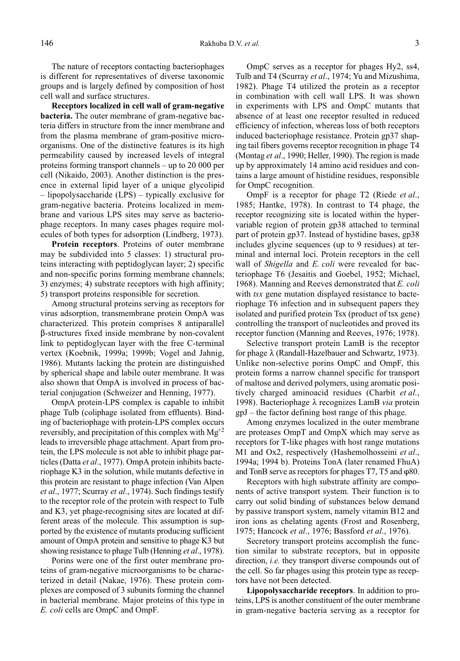The nature of receptors contacting bacteriophages is different for representatives of diverse taxonomic groups and is largely defined by composition of host cell wall and surface structures.

Receptors localized in cell wall of gram-negative bacteria. The outer membrane of gram-negative bacteria differs in structure from the inner membrane and from the plasma membrane of gram-positive microorganisms. One of the distinctive features is its high permeability caused by increased levels of integral proteins forming transport channels  $-$  up to 20 000 per cell (Nikaido, 2003). Another distinction is the presence in external lipid layer of a unique glycolipid - lipopolysaccharide (LPS) - typically exclusive for gram-negative bacteria. Proteins localized in membrane and various LPS sites may serve as bacteriophage receptors. In many cases phages require molecules of both types for adsorption (Lindberg, 1973).

Protein receptors. Proteins of outer membrane may be subdivided into 5 classes: 1) structural proteins interacting with peptidoglycan layer; 2) specific and non-specific porins forming membrane channels; 3) enzymes; 4) substrate receptors with high affinity; 5) transport proteins responsible for secretion.

Among structural proteins serving as receptors for virus adsorption, transmembrane protein OmpA was characterized. This protein comprises 8 antiparallel \$-structures fixed inside membrane by non-covalent link to peptidoglycan layer with the free C-terminal vertex (Koebnik, 1999a; 1999b; Vogel and Jahnig, 1986). Mutants lacking the protein are distinguished by spherical shape and labile outer membrane. It was also shown that OmpA is involved in process of bacterial conjugation (Schweizer and Henning, 1977).

OmpA protein-LPS complex is capable to inhibit phage Tulb (coliphage isolated from effluents). Binding of bacteriophage with protein-LPS complex occurs reversibly, and precipitation of this complex with  $Mg^{2}$ leads to irreversible phage attachment. Apart from protein, the LPS molecule is not able to inhibit phage particles (Datta et al., 1977). OmpA protein inhibits bacteriophage K3 in the solution, while mutants defective in this protein are resistant to phage infection (Van Alpen et al., 1977; Scurray et al., 1974). Such findings testify to the receptor role of the protein with respect to Tulb and K3, yet phage-recognising sites are located at different areas of the molecule. This assumption is supported by the existence of mutants producing sufficient amount of OmpA protein and sensitive to phage K3 but showing resistance to phage Tulb (Henning *et al.*, 1978).

Porins were one of the first outer membrane proteins of gram-negative microorganisms to be characterized in detail (Nakae, 1976). These protein complexes are composed of 3 subunits forming the channel in bacterial membrane. Major proteins of this type in E. coli cells are OmpC and OmpF.

OmpC serves as a receptor for phages Hy2, ss4, Tulb and T4 (Scurray et al., 1974; Yu and Mizushima, 1982). Phage T4 utilized the protein as a receptor in combination with cell wall LPS. It was shown in experiments with LPS and OmpC mutants that absence of at least one receptor resulted in reduced efficiency of infection, whereas loss of both receptors induced bacteriophage resistance. Protein gp37 shaping tail fibers governs receptor recognition in phage T4 (Montag et al., 1990; Heller, 1990). The region is made up by approximately 14 amino acid residues and contains a large amount of histidine residues, responsible for OmpC recognition.

OmpF is a receptor for phage T2 (Riede *et al.*, 1985; Hantke, 1978). In contrast to T4 phage, the receptor recognizing site is located within the hypervariable region of protein gp38 attached to terminal part of protein gp37. Instead of hystidine bases, gp38 includes glycine sequences (up to 9 residues) at terminal and internal loci. Protein receptors in the cell wall of Shigella and E. coli were revealed for bacteriophage T6 (Jesaitis and Goebel, 1952; Michael, 1968). Manning and Reeves demonstrated that E. coli with tsx gene mutation displayed resistance to bacteriophage T6 infection and in subsequent papers they isolated and purified protein Tsx (product of tsx gene) controlling the transport of nucleotides and proved its receptor function (Manning and Reeves, 1976; 1978).

Selective transport protein LamB is the receptor for phage  $\lambda$  (Randall-Hazelbauer and Schwartz, 1973). Unlike non-selective porins OmpC and OmpF, this protein forms a narrow channel specific for transport of maltose and derived polymers, using aromatic positively charged aminoacid residues (Charbit et al., 1998). Bacteriophage  $\lambda$  recognizes LamB via protein  $gpJ$  – the factor defining host range of this phage.

Among enzymes localized in the outer membrane are proteases OmpT and OmpX which may serve as receptors for T-like phages with host range mutations M1 and Ox2, respectively (Hashemolhosseini et al., 1994a; 1994 b). Proteins TonA (later renamed FhuA) and TonB serve as receptors for phages T7, T5 and  $\varphi$ 80.

Receptors with high substrate affinity are components of active transport system. Their function is to carry out solid binding of substances below demand by passive transport system, namely vitamin B12 and iron ions as chelating agents (Frost and Rosenberg, 1975; Hancock et al., 1976; Bassford et al., 1976).

Secretory transport proteins accomplish the function similar to substrate receptors, but in opposite direction, *i.e.* they transport diverse compounds out of the cell. So far phages using this protein type as receptors have not been detected.

Lipopolysaccharide receptors. In addition to proteins, LPS is another constituent of the outer membrane in gram-negative bacteria serving as a receptor for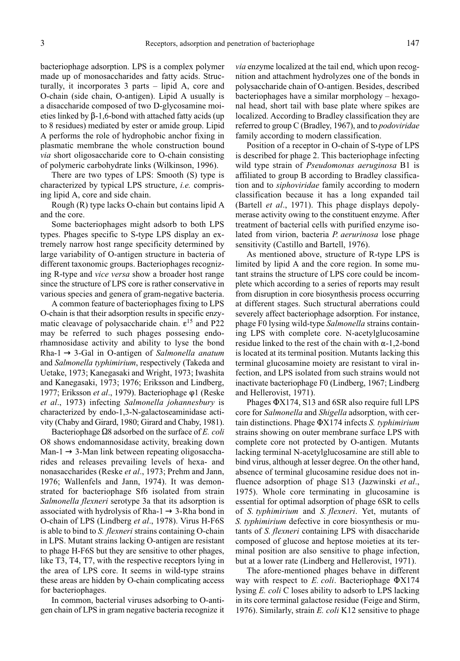bacteriophage adsorption. LPS is a complex polymer made up of monosaccharides and fatty acids. Structurally, it incorporates  $3$  parts  $-$  lipid A, core and O-chain (side chain, O-antigen). Lipid A usually is a disaccharide composed of two D-glycosamine moieties linked by  $\beta$ -1,6-bond with attached fatty acids (up to 8 residues) mediated by ester or amide group. Lipid A performs the role of hydrophobic anchor fixing in plasmatic membrane the whole construction bound via short oligosaccharide core to O-chain consisting of polymeric carbohydrate links (Wilkinson, 1996).

There are two types of LPS: Smooth (S) type is characterized by typical LPS structure, i.e. comprising lipid A, core and side chain.

Rough (R) type lacks O-chain but contains lipid A and the core.

Some bacteriophages might adsorb to both LPS types. Phages specific to S-type LPS display an extremely narrow host range specificity determined by large variability of O-antigen structure in bacteria of different taxonomic groups. Bacteriophages recognizing R-type and vice versa show a broader host range since the structure of LPS core is rather conservative in various species and genera of gram-negative bacteria.

A common feature of bacteriophages fixing to LPS O-chain is that their adsorption results in specific enzymatic cleavage of polysaccharide chain.  $\varepsilon^{15}$  and P22 may be referred to such phages possesing endorhamnosidase activity and ability to lyse the bond Rha-1  $\rightarrow$  3-Gal in O-antigen of Salmonella anatum and Salmonella typhimirium, respectively (Takeda and Uetake, 1973; Kanegasaki and Wright, 1973; Iwashita and Kanegasaki, 1973; 1976; Eriksson and Lindberg, 1977; Eriksson et al., 1979). Bacteriophage φ1 (Reske et al., 1973) infecting Salmonella johannesbury is characterized by endo-1,3-N-galactoseaminidase activity (Chaby and Girard, 1980; Girard and Chaby, 1981).

Bacteriophage  $\Omega$ 8 adsorbed on the surface of *E. coli* O8 shows endomannosidase activity, breaking down Man-1  $\rightarrow$  3-Man link between repeating oligosaccharides and releases prevailing levels of hexa- and nonasaccharides (Reske et al., 1973; Prehm and Jann, 1976; Wallenfels and Jann, 1974). It was demonstrated for bacteriophage Sf6 isolated from strain Salmonella flexneri serotype 3a that its adsorption is associated with hydrolysis of Rha-1  $\rightarrow$  3-Rha bond in O-chain of LPS (Lindberg et al., 1978). Virus H-F6S is able to bind to S. flexneri strains containing O-chain in LPS. Mutant strains lacking O-antigen are resistant to phage H-F6S but they are sensitive to other phages, like T3, T4, T7, with the respective receptors lying in the area of LPS core. It seems in wild-type strains these areas are hidden by O-chain complicating access for bacteriophages.

In common, bacterial viruses adsorbing to O-antigen chain of LPS in gram negative bacteria recognize it via enzyme localized at the tail end, which upon recognition and attachment hydrolyzes one of the bonds in polysaccharide chain of O-antigen. Besides, described  $b$ acteriophages have a similar morphology  $-$  hexagonal head, short tail with base plate where spikes are localized. According to Bradley classification they are referred to group C (Bradley, 1967), and to podoviridae family according to modern classification.

Position of a receptor in O-chain of S-type of LPS is described for phage 2. This bacteriophage infecting wild type strain of *Pseudomonas aeruginosa* B1 is affiliated to group B according to Bradley classification and to siphoviridae family according to modern classification because it has a long expanded tail (Bartell et al., 1971). This phage displays depolymerase activity owing to the constituent enzyme. After treatment of bacterial cells with purified enzyme isolated from virion, bacteria P. aerurinosa lose phage sensitivity (Castillo and Bartell, 1976).

As mentioned above, structure of R-type LPS is limited by lipid A and the core region. In some mutant strains the structure of LPS core could be incomplete which according to a series of reports may result from disruption in core biosynthesis process occurring at different stages. Such structural aberrations could severely affect bacteriophage adsorption. For instance, phage F0 lysing wild-type Salmonella strains containing LPS with complete core. N-acetylglucosamine residue linked to the rest of the chain with  $\alpha$ -1,2-bond is located at its terminal position. Mutants lacking this terminal glucosamine moiety are resistant to viral infection, and LPS isolated from such strains would not inactivate bacteriophage F0 (Lindberg, 1967; Lindberg and Hellerovist, 1971).

Phages  $\Phi$ X174, S13 and 6SR also require full LPS core for Salmonella and Shigella adsorption, with certain distinctions. Phage  $\Phi$ X174 infects *S. typhimirium* strains showing on outer membrane surface LPS with complete core not protected by O-antigen. Mutants lacking terminal N-acetylglucosamine are still able to bind virus, although at lesser degree. On the other hand, absence of terminal glucosamine residue does not influence adsorption of phage S13 (Jazwinski et al., 1975). Whole core terminating in glucosamine is essential for optimal adsorption of phage 6SR to cells of S. typhimirium and S. flexneri. Yet, mutants of S. typhimirium defective in core biosynthesis or mutants of S. flexneri containing LPS with disaccharide composed of glucose and heptose moieties at its terminal position are also sensitive to phage infection, but at a lower rate (Lindberg and Hellerovist, 1971).

The afore-mentioned phages behave in different way with respect to E. coli. Bacteriophage  $\Phi$ X174 lysing *E. coli* C loses ability to adsorb to LPS lacking in its core terminal galactose residue (Feige and Stirm, 1976). Similarly, strain E. coli K12 sensitive to phage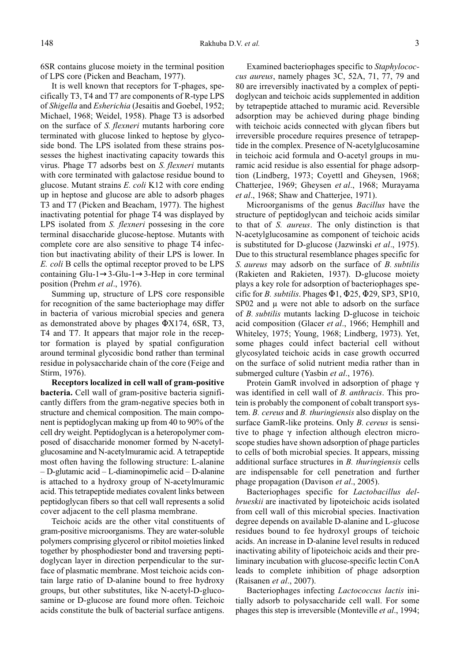6SR contains glucose moiety in the terminal position of LPS core (Picken and Beacham, 1977).

It is well known that receptors for T-phages, specifically T3, T4 and T7 are components of R-type LPS of Shigella and Esherichia (Jesaitis and Goebel, 1952; Michael, 1968; Weidel, 1958). Phage T3 is adsorbed on the surface of S. flexneri mutants harboring core terminated with glucose linked to heptose by glycoside bond. The LPS isolated from these strains possesses the highest inactivating capacity towards this virus. Phage T7 adsorbs best on S. flexneri mutants with core terminated with galactose residue bound to glucose. Mutant strains E. coli K12 with core ending up in heptose and glucose are able to adsorb phages T3 and T7 (Picken and Beacham, 1977). The highest inactivating potential for phage T4 was displayed by LPS isolated from S. *flexneri* possesing in the core terminal disaccharide glucose-heptose. Mutants with complete core are also sensitive to phage T4 infection but inactivating ability of their LPS is lower. In E. coli B cells the optimal receptor proved to be LPS containing Glu-1→3-Glu-1→3-Hep in core terminal position (Prehm et al., 1976).

Summing up, structure of LPS core responsible for recognition of the same bacteriophage may differ in bacteria of various microbial species and genera as demonstrated above by phages  $\Phi$ X174, 6SR, T3, T4 and T7. It appears that major role in the receptor formation is played by spatial configuration around terminal glycosidic bond rather than terminal residue in polysaccharide chain of the core (Feige and Stirm, 1976).

Receptors localized in cell wall of gram-positive bacteria. Cell wall of gram-positive bacteria significantly differs from the gram-negative species both in structure and chemical composition. The main component is peptidoglycan making up from 40 to 90% of the cell dry weight. Peptidoglycan is a heteropolymer composed of disaccharide monomer formed by N-acetylglucosamine and N-acetylmuramic acid. A tetrapeptide most often having the following structure: L-alanine  $-D$ -glutamic acid  $-L$ -diaminopimelic acid  $-D$ -alanine is attached to a hydroxy group of N-acetylmuramic acid. This tetrapeptide mediates covalent links between peptidoglycan fibers so that cell wall represents a solid cover adjacent to the cell plasma membrane.

Teichoic acids are the other vital constituents of gram-positive microorganisms. They are water-soluble polymers comprising glycerol or ribitol moieties linked together by phosphodiester bond and traversing peptidoglycan layer in direction perpendicular to the surface of plasmatic membrane. Most teichoic acids contain large ratio of D-alanine bound to free hydroxy groups, but other substitutes, like N-acetyl-D-glucosamine or D-glucose are found more often. Teichoic acids constitute the bulk of bacterial surface antigens.

Examined bacteriophages specific to Staphylococcus aureus, namely phages 3C, 52A, 71, 77, 79 and 80 are irreversibly inactivated by a complex of peptidoglycan and teichoic acids supplemented in addition by tetrapeptide attached to muramic acid. Reversible adsorption may be achieved during phage binding with teichoic acids connected with glycan fibers but irreversible procedure requires presence of tetrapeptide in the complex. Presence of N-acetylglucosamine in teichoic acid formula and O-acetyl groups in muramic acid residue is also essential for phage adsorption (Lindberg, 1973; Coyettl and Gheysen, 1968; Chatterjee, 1969; Gheysen et al., 1968; Murayama et al., 1968; Shaw and Chatterjee, 1971).

Microorganisms of the genus Bacillus have the structure of peptidoglycan and teichoic acids similar to that of S. aureus. The only distinction is that N-acetylglucosamine as component of teichoic acids is substituted for D-glucose (Jazwinski et al., 1975). Due to this structural resemblance phages specific for S. aureus may adsorb on the surface of B. subtilis (Rakieten and Rakieten, 1937). D-glucose moiety plays a key role for adsorption of bacteriophages specific for *B. subtilis.* Phages  $\Phi$ 1,  $\Phi$ 25,  $\Phi$ 29, SP3, SP10,  $SP02$  and  $\mu$  were not able to adsorb on the surface of B. subtilis mutants lacking D-glucose in teichoic acid composition (Glacer et al., 1966; Hemphill and Whiteley, 1975; Young, 1968; Lindberg, 1973). Yet, some phages could infect bacterial cell without glycosylated teichoic acids in case growth occurred on the surface of solid nutrient media rather than in submerged culture (Yasbin et al., 1976).

Protein GamR involved in adsorption of phage  $\gamma$ was identified in cell wall of B. anthracis. This protein is probably the component of cobalt transport system. B. cereus and B. thuringiensis also display on the surface GamR-like proteins. Only *B. cereus* is sensitive to phage  $\gamma$  infection although electron microscope studies have shown adsorption of phage particles to cells of both microbial species. It appears, missing additional surface structures in B. thuringiensis cells are indispensable for cell penetration and further phage propagation (Davison *et al.*, 2005).

Bacteriophages specific for Lactobacillus delbrueskii are inactivated by lipoteichoic acids isolated from cell wall of this microbial species. Inactivation degree depends on available D-alanine and L-glucose residues bound to fee hydroxyl groups of teichoic acids. An increase in D-alanine level results in reduced inactivating ability of lipoteichoic acids and their preliminary incubation with glucose-specific lectin ConA leads to complete inhibition of phage adsorption (Raisanen et al., 2007).

Bacteriophages infecting Lactococcus lactis initially adsorb to polysaccharide cell wall. For some phages this step is irreversible (Monteville et al., 1994;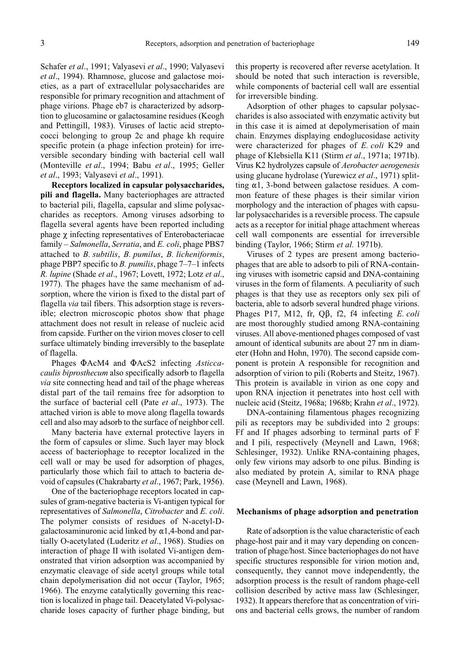Schafer et al., 1991; Valyasevi et al., 1990; Valyasevi et al., 1994). Rhamnose, glucose and galactose moieties, as a part of extracellular polysaccharides are responsible for primary recognition and attachment of phage virions. Phage eb7 is characterized by adsorption to glucosamine or galactosamine residues (Keogh and Pettingill, 1983). Viruses of lactic acid streptococci belonging to group 2c and phage kh require specific protein (a phage infection protein) for irreversible secondary binding with bacterial cell wall (Monteville et al., 1994; Babu et al., 1995; Geller et al., 1993; Valyasevi et al., 1991).

Receptors localized in capsular polysaccharides, pili and flagella. Many bacteriophages are attracted to bacterial pili, flagella, capsular and slime polysaccharides as receptors. Among viruses adsorbing to flagella several agents have been reported including phage  $\chi$  infecting representatives of Enterobacteriacae family  $-Salmonella, Serratia, and E. coli, phase PBS7$ attached to B. subtilis, B. pumilus, B. licheniformis, phage PBP7 specific to *B. pumilis*, phage  $7-7-1$  infects R. lupine (Shade et al., 1967; Lovett, 1972; Lotz et al., 1977). The phages have the same mechanism of adsorption, where the virion is fixed to the distal part of flagella *via* tail fibers. This adsorption stage is reversible; electron microscopic photos show that phage attachment does not result in release of nucleic acid from capside. Further on the virion moves closer to cell surface ultimately binding irreversibly to the baseplate of flagella.

Phages  $\Phi$ AcM4 and  $\Phi$ AcS2 infecting *Asticca*caulis biprosthecum also specifically adsorb to flagella via site connecting head and tail of the phage whereas distal part of the tail remains free for adsorption to the surface of bacterial cell (Pate et al., 1973). The attached virion is able to move along flagella towards cell and also may adsorb to the surface of neighbor cell.

Many bacteria have external protective layers in the form of capsules or slime. Such layer may block access of bacteriophage to receptor localized in the cell wall or may be used for adsorption of phages, particularly those which fail to attach to bacteria devoid of capsules (Chakrabarty et al., 1967; Park, 1956).

One of the bacteriophage receptors located in capsules of gram-negative bacteria is Vi-antigen typical for representatives of Salmonella, Citrobacter and E. coli. The polymer consists of residues of N-acetyl-Dgalactosaminuronic acid linked by  $\alpha$ 1,4-bond and partially O-acetylated (Luderitz et al., 1968). Studies on interaction of phage II with isolated Vi-antigen demonstrated that virion adsorption was accompanied by enzymatic cleavage of side acetyl groups while total chain depolymerisation did not occur (Taylor, 1965; 1966). The enzyme catalytically governing this reaction is localized in phage tail. Deacetylated Vi-polysaccharide loses capacity of further phage binding, but this property is recovered after reverse acetylation. It should be noted that such interaction is reversible, while components of bacterial cell wall are essential for irreversible binding.

Adsorption of other phages to capsular polysaccharides is also associated with enzymatic activity but in this case it is aimed at depolymerisation of main chain. Enzymes displaying endoglucosidase activity were characterized for phages of E. coli K29 and phage of Klebsiella K11 (Stirm *et al.*, 1971a; 1971b). Virus K2 hydrolyzes capsule of Aerobacter aerogenesis using glucane hydrolase (Yurewicz et al., 1971) splitting  $\alpha$ 1, 3-bond between galactose residues. A common feature of these phages is their similar virion morphology and the interaction of phages with capsular polysaccharides is a reversible process. The capsule acts as a receptor for initial phage attachment whereas cell wall components are essential for irreversible binding (Taylor, 1966; Stirm et al. 1971b).

Viruses of 2 types are present among bacteriophages that are able to adsorb to pili of RNA-containing viruses with isometric capsid and DNA-containing viruses in the form of filaments. A peculiarity of such phages is that they use as receptors only sex pili of bacteria, able to adsorb several hundred phage virions. Phages P17, M12, fr,  $Q\beta$ , f2, f4 infecting E. coli are most thoroughly studied among RNA-containing viruses. All above-mentioned phages composed of vast amount of identical subunits are about 27 nm in diameter (Hohn and Hohn, 1970). The second capside component is protein A responsible for recognition and adsorption of virion to pili (Roberts and Steitz, 1967). This protein is available in virion as one copy and upon RNA injection it penetrates into host cell with nucleic acid (Steitz, 1968a; 1968b; Krahn *et al.*, 1972).

DNA-containing filamentous phages recognizing pili as receptors may be subdivided into 2 groups: Ff and If phages adsorbing to terminal parts of F and I pili, respectively (Meynell and Lawn, 1968; Schlesinger, 1932). Unlike RNA-containing phages, only few virions may adsorb to one pilus. Binding is also mediated by protein A, similar to RNA phage case (Meynell and Lawn, 1968).

#### Mechanisms of phage adsorption and penetration

Rate of adsorption is the value characteristic of each phage-host pair and it may vary depending on concentration of phage/host. Since bacteriophages do not have specific structures responsible for virion motion and, consequently, they cannot move independently, the adsorption process is the result of random phage-cell collision described by active mass law (Schlesinger, 1932). It appears therefore that as concentration of virions and bacterial cells grows, the number of random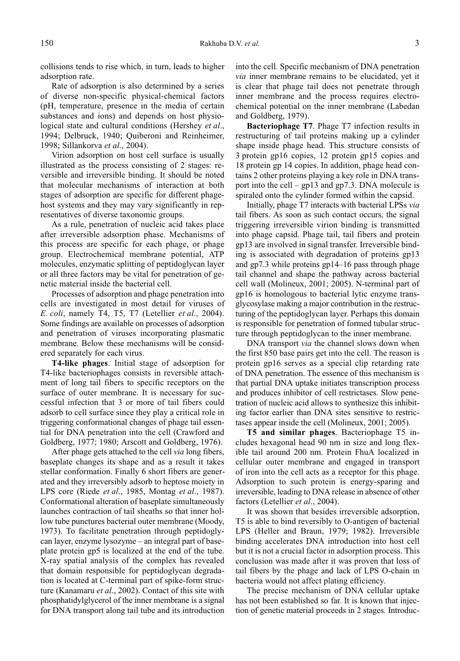collisions tends to rise which, in turn, leads to higher adsorption rate.

Rate of adsorption is also determined by a series of diverse non-specific physical-chemical factors (pH, temperature, presence in the media of certain substances and ions) and depends on host physiological state and cultural conditions (Hershey et al., 1994; Delbruck, 1940; Quiberoni and Reinheimer, 1998; Sillankorva et al., 2004).

Virion adsorption on host cell surface is usually illustrated as the process consisting of 2 stages: reversible and irreversible binding. It should be noted that molecular mechanisms of interaction at both stages of adsorption are specific for different phagehost systems and they may vary significantly in representatives of diverse taxonomic groups.

As a rule, penetration of nucleic acid takes place after irreversible adsorption phase. Mechanisms of this process are specific for each phage, or phage group. Electrochemical membrane potential, ATP molecules, enzymatic splitting of peptidoglycan layer or all three factors may be vital for penetration of genetic material inside the bacterial cell.

Processes of adsorption and phage penetration into cells are investigated in most detail for viruses of E. coli, namely T4, T5, T7 (Letellier et al., 2004). Some findings are available on processes of adsorption and penetration of viruses incorporating plasmatic membrane. Below these mechanisms will be considered separately for each virus.

T4-like phages. Initial stage of adsorption for T4-like bacteriophages consists in reversible attachment of long tail fibers to specific receptors on the surface of outer membrane. It is necessary for successful infection that 3 or more of tail fibers could adsorb to cell surface since they play a critical role in triggering conformational changes of phage tail essential for DNA penetration into the cell (Crawford and Goldberg, 1977; 1980; Arscott and Goldberg, 1976).

After phage gets attached to the cell *via* long fibers, baseplate changes its shape and as a result it takes stellar conformation. Finally 6 short fibers are generated and they irreversibly adsorb to heptose moiety in LPS core (Riede *et al.*, 1985, Montag *et al.*, 1987). Conformational alteration of baseplate simultaneously launches contraction of tail sheaths so that inner hollow tube punctures bacterial outer membrane (Moody, 1973). To facilitate penetration through peptidoglycan layer, enzyme  $lysozyme - an integral part of base$ plate protein gp5 is localized at the end of the tube. X-ray spatial analysis of the complex has revealed that domain responsible for peptidoglycan degradation is located at C-terminal part of spike-form structure (Kanamaru et al., 2002). Contact of this site with phosphatidylglycerol of the inner membrane is a signal for DNA transport along tail tube and its introduction into the cell. Specific mechanism of DNA penetration via inner membrane remains to be elucidated, yet it is clear that phage tail does not penetrate through inner membrane and the process requires electrochemical potential on the inner membrane (Labedan and Goldberg, 1979).

Bacteriophage T7. Phage T7 infection results in restructuring of tail proteins making up a cylinder shape inside phage head. This structure consists of 3 protein gp16 copies, 12 protein gp15 copies and 18 protein gp 14 copies. In addition, phage head contains 2 other proteins playing a key role in DNA transport into the cell  $-$  gp13 and gp7.3. DNA molecule is spiraled onto the cylinder formed within the capsid.

Initially, phage T7 interacts with bacterial LPSs via tail fibers. As soon as such contact occurs, the signal triggering irreversible virion binding is transmitted into phage capsid. Phage tail, tail fibers and protein gp13 are involved in signal transfer. Irreversible binding is associated with degradation of proteins gp13 and gp7.3 while proteins  $gp14-16$  pass through phage tail channel and shape the pathway across bacterial cell wall (Molineux, 2001; 2005). N-terminal part of gp16 is homologous to bacterial lytic enzyme transglycosylase making a major contribution in the restructuring of the peptidoglycan layer. Perhaps this domain is responsible for penetration of formed tubular structure through peptidoglycan to the inner membrane.

DNA transport *via* the channel slows down when the first 850 base pairs get into the cell. The reason is protein gp16 serves as a special clip retarding rate of DNA penetration. The essence of this mechanism is that partial DNA uptake initiates transcription process and produces inhibitor of cell restrictases. Slow penetration of nucleic acid allows to synthesize this inhibiting factor earlier than DNA sites sensitive to restrictases appear inside the cell (Molineux, 2001; 2005).

T5 and similar phages. Bacteriophage T5 includes hexagonal head 90 nm in size and long flexible tail around 200 nm. Protein FhuA localized in cellular outer membrane and engaged in transport of iron into the cell acts as a receptor for this phage. Adsorption to such protein is energy-sparing and irreversible, leading to DNA release in absence of other factors (Letellier et al., 2004).

It was shown that besides irreversible adsorption, T5 is able to bind reversibly to O-antigen of bacterial LPS (Heller and Braun, 1979; 1982). Irreversible binding accelerates DNA introduction into host cell but it is not a crucial factor in adsorption process. This conclusion was made after it was proven that loss of tail fibers by the phage and lack of LPS O-chain in bacteria would not affect plating efficiency.

The precise mechanism of DNA cellular uptake has not been established so far. It is known that injection of genetic material proceeds in 2 stages. Introduc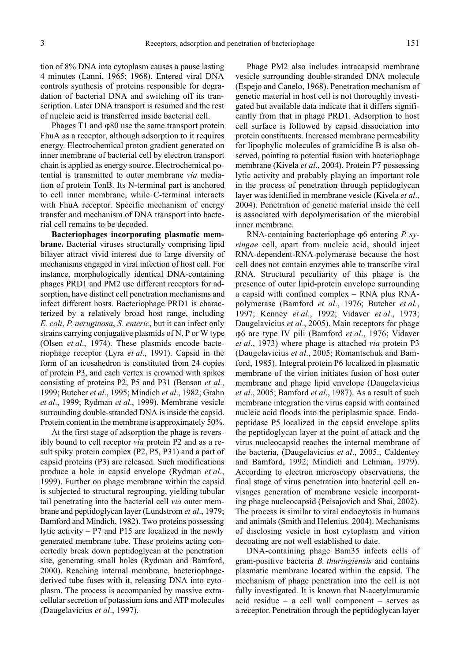tion of 8% DNA into cytoplasm causes a pause lasting 4 minutes (Lanni, 1965; 1968). Entered viral DNA controls synthesis of proteins responsible for degradation of bacterial DNA and switching off its transcription. Later DNA transport is resumed and the rest of nucleic acid is transferred inside bacterial cell.

Phages  $T1$  and  $\varphi$ 80 use the same transport protein FhuA as a receptor, although adsorption to it requires energy. Electrochemical proton gradient generated on inner membrane of bacterial cell by electron transport chain is applied as energy source. Electrochemical potential is transmitted to outer membrane via mediation of protein TonB. Its N-terminal part is anchored to cell inner membrane, while C-terminal interacts with FhuA receptor. Specific mechanism of energy transfer and mechanism of DNA transport into bacterial cell remains to be decoded.

Bacteriophages incorporating plasmatic membrane. Bacterial viruses structurally comprising lipid bilayer attract vivid interest due to large diversity of mechanisms engaged in viral infection of host cell. For instance, morphologically identical DNA-containing phages PRD1 and PM2 use different receptors for adsorption, have distinct cell penetration mechanisms and infect different hosts. Bacteriophage PRD1 is characterized by a relatively broad host range, including E. coli, P. aeruginosa, S. enteric, but it can infect only strains carrying conjugative plasmids of N, P or W type (Olsen et al., 1974). These plasmids encode bacteriophage receptor (Lyra et al., 1991). Capsid in the form of an icosahedron is constituted from 24 copies of protein P3, and each vertex is crowned with spikes consisting of proteins P2, P5 and P31 (Benson et al., 1999; Butcher et al., 1995; Mindich et al., 1982; Grahn et al., 1999; Rydman et al., 1999). Membrane vesicle surrounding double-stranded DNA is inside the capsid. Protein content in the membrane is approximately 50%.

At the first stage of adsorption the phage is reversibly bound to cell receptor via protein P2 and as a result spiky protein complex (P2, P5, P31) and a part of capsid proteins (P3) are released. Such modifications produce a hole in capsid envelope (Rydman et al., 1999). Further on phage membrane within the capsid is subjected to structural regrouping, yielding tubular tail penetrating into the bacterial cell via outer membrane and peptidoglycan layer (Lundstrom et al., 1979; Bamford and Mindich, 1982). Two proteins possessing lytic activity  $- P7$  and P15 are localized in the newly generated membrane tube. These proteins acting concertedly break down peptidoglycan at the penetration site, generating small holes (Rydman and Bamford, 2000). Reaching internal membrane, bacteriophagederived tube fuses with it, releasing DNA into cytoplasm. The process is accompanied by massive extracellular secretion of potassium ions and ATP molecules (Daugelavicius et al., 1997).

Phage PM2 also includes intracapsid membrane vesicle surrounding double-stranded DNA molecule (Espejo and Canelo, 1968). Penetration mechanism of genetic material in host cell is not thoroughly investigated but available data indicate that it differs significantly from that in phage PRD1. Adsorption to host cell surface is followed by capsid dissociation into protein constituents. Increased membrane permeability for lipophylic molecules of gramicidine B is also observed, pointing to potential fusion with bacteriophage membrane (Kivela et al., 2004). Protein P7 possessing lytic activity and probably playing an important role in the process of penetration through peptidoglycan layer was identified in membrane vesicle (Kivela et al., 2004). Penetration of genetic material inside the cell is associated with depolymerisation of the microbial inner membrane.

RNA-containing bacteriophage  $\varphi$ 6 entering P. syringae cell, apart from nucleic acid, should inject RNA-dependent-RNA-polymerase because the host cell does not contain enzymes able to transcribe viral RNA. Structural peculiarity of this phage is the presence of outer lipid-protein envelope surrounding a capsid with confined complex  $-$  RNA plus RNApolymerase (Bamford et al., 1976; Butcher et al., 1997; Kenney et al., 1992; Vidaver et al., 1973; Daugelavicius et al., 2005). Main receptors for phage  $\varphi$ 6 are type IV pili (Bamford et al., 1976; Vidaver et al., 1973) where phage is attached via protein P3 (Daugelavicius et al., 2005; Romantschuk and Bamford, 1985). Integral protein P6 localized in plasmatic membrane of the virion initiates fusion of host outer membrane and phage lipid envelope (Daugelavicius et al., 2005; Bamford et al., 1987). As a result of such membrane integration the virus capsid with contained nucleic acid floods into the periplasmic space. Endopeptidase P5 localized in the capsid envelope splits the peptidoglycan layer at the point of attack and the virus nucleocapsid reaches the internal membrane of the bacteria, (Daugelavicius et al., 2005., Caldentey and Bamford, 1992; Mindich and Lehman, 1979). According to electron microscopy observations, the final stage of virus penetration into bacterial cell envisages generation of membrane vesicle incorporating phage nucleocapsid (Peisajovich and Shai, 2002). The process is similar to viral endocytosis in humans and animals (Smith and Helenius. 2004). Mechanisms of disclosing vesicle in host cytoplasm and virion decoating are not well established to date.

DNA-containing phage Bam35 infects cells of gram-positive bacteria B. thuringiensis and contains plasmatic membrane located within the capsid. The mechanism of phage penetration into the cell is not fully investigated. It is known that N-acetylmuramic acid residue  $-$  a cell wall component  $-$  serves as a receptor. Penetration through the peptidoglycan layer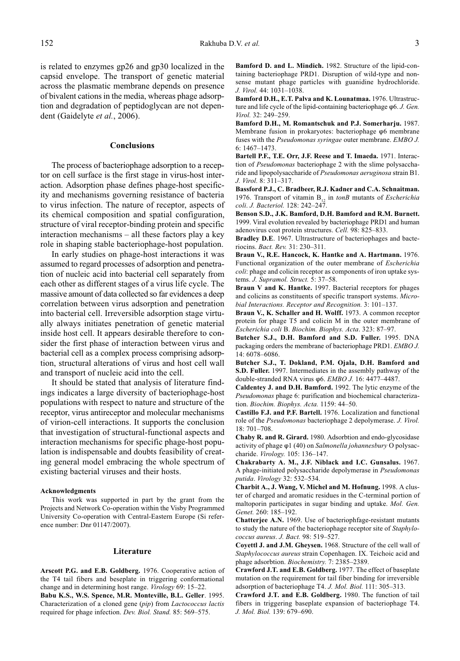is related to enzymes gp26 and gp30 localized in the capsid envelope. The transport of genetic material across the plasmatic membrane depends on presence of bivalent cations in the media, whereas phage adsorption and degradation of peptidoglycan are not dependent (Gaidelyte et al., 2006).

## Conclusions

The process of bacteriophage adsorption to a receptor on cell surface is the first stage in virus-host interaction. Adsorption phase defines phage-host specificity and mechanisms governing resistance of bacteria to virus infection. The nature of receptor, aspects of its chemical composition and spatial configuration, structure of viral receptor-binding protein and specific interaction mechanisms  $-$  all these factors play a key role in shaping stable bacteriophage-host population.

In early studies on phage-host interactions it was assumed to regard processes of adsorption and penetration of nucleic acid into bacterial cell separately from each other as different stages of a virus life cycle. The massive amount of data collected so far evidences a deep correlation between virus adsorption and penetration into bacterial cell. Irreversible adsorption stage virtually always initiates penetration of genetic material inside host cell. It appears desirable therefore to consider the first phase of interaction between virus and bacterial cell as a complex process comprising adsorption, structural alterations of virus and host cell wall and transport of nucleic acid into the cell.

It should be stated that analysis of literature findings indicates a large diversity of bacteriophage-host populations with respect to nature and structure of the receptor, virus antireceptor and molecular mechanisms of virion-cell interactions. It supports the conclusion that investigation of structural-functional aspects and interaction mechanisms for specific phage-host population is indispensable and doubts feasibility of creating general model embracing the whole spectrum of existing bacterial viruses and their hosts.

#### Acknowledgments

This work was supported in part by the grant from the Projects and Network Co-operation within the Visby Programmed University Co-operation with Central-Eastern Europe (Si reference number: Dnr 01147/2007).

### Literature

Arscott P.G. and E.B. Goldberg. 1976. Cooperative action of the T4 tail fibers and beseplate in triggering conformational change and in determining host range. Virology 69: 15-22.

Babu K.S., W.S. Spence, M.R. Monteville, B.L. Geller. 1995. Characterization of a cloned gene (pip) from Lactococcus lactis required for phage infection. Dev. Biol. Stand. 85: 569-575.

Bamford D. and L. Mindich. 1982. Structure of the lipid-containing bacteriophage PRD1. Disruption of wild-type and nonsense mutant phage particles with guanidine hydrochloride. J. Virol. 44: 1031-1038.

Bamford D.H., E.T. Palva and K. Lounatmaa. 1976. Ultrastructure and life cycle of the lipid-containing bacteriophage  $\varphi$ 6. J. Gen. Virol. 32: 249-259.

Bamford D.H., M. Romantschuk and P.J. Somerharju. 1987. Membrane fusion in prokaryotes: bacteriophage  $\varphi$ 6 membrane fuses with the Pseudomonas syringae outer membrane. EMBO J. 6:  $1467 - 1473$ .

Bartell P.F., T.E. Orr, J.F. Reese and T. Imaeda. 1971. Interaction of Pseudomonas bacteriophage 2 with the slime polysaccharide and lipopolysaccharide of Pseudomonas aeruginosa strain B1. J. Virol. 8: 311-317.

Bassford P.J., C. Bradbeer, R.J. Kadner and C.A. Schnaitman. 1976. Transport of vitamin  $B_{12}$  in tonB mutants of *Escherichia* coli. J. Bacteriol. 128: 242-247.

Benson S.D., J.K. Bamford, D.H. Bamford and R.M. Burnett. 1999. Viral evolution revealed by bacteriophage PRD1 and human adenovirus coat protein structures. Cell. 98: 825-833.

Bradley D.E. 1967. Ultrastructure of bacteriophages and bacteriocins. Bact. Rev. 31: 230-311.

Braun V., R.E. Hancock, K. Hantke and A. Hartmann. 1976. Functional organization of the outer membrane of Escherichia coli: phage and colicin receptor as components of iron uptake systems. J. Supramol. Struct. 5: 37-58.

Braun V and K. Hantke. 1997. Bacterial receptors for phages and colicins as constituents of specific transport systems. Microbial Interactions. Receptor and Recognition. 3: 101-137.

Braun V., K. Schaller and H. Wolff. 1973. A common receptor protein for phage T5 and colicin M in the outer membrane of Escherichia coli B. Biochim. Biophys. Acta. 323: 87-97.

Butcher S.J., D.H. Bamford and S.D. Fuller. 1995. DNA packaging orders the membrane of bacteriophage PRD1. EMBO J. 14: 6078-6086.

Butcher S.J., T. Dokland, P.M. Ojala, D.H. Bamford and S.D. Fuller. 1997. Intermediates in the assembly pathway of the double-stranded RNA virus  $\varphi$ 6. EMBO J. 16: 4477-4487.

Caldentey J. and D.H. Bamford. 1992. The lytic enzyme of the Pseudomonas phage 6: purification and biochemical characterization. Biochim. Biophys. Acta. 1159: 44-50.

Castillo F.J. and P.F. Bartell. 1976. Localization and functional role of the Pseudomonas bacteriophage 2 depolymerase. J. Virol. 18: 701-708.

Chaby R. and R. Girard. 1980. Adsorbtion and endo-glycosidase activity of phage  $\varphi$ 1 (40) on Salmonella johannesbury O polysaccharide. Virology. 105: 136-147.

Chakrabarty A. M., J.F. Niblack and I.C. Gunsalus. 1967. A phage-initiated polysaccharide depolymerase in Pseudomonas putida. Virology 32: 532-534.

Charbit A., J. Wang, V. Michel and M. Hofnung. 1998. A cluster of charged and aromatic residues in the C-terminal portion of maltoporin participates in sugar binding and uptake. Mol. Gen. Genet. 260: 185-192.

Chatterjee A.N. 1969. Use of bacteriophfage-resistant mutants to study the nature of the bacteriophage receptor site of Staphylococcus aureus. J. Bact. 98: 519-527.

Coyettl J. and J.M. Gheysen. 1968. Structure of the cell wall of Staphylococcus aureus strain Copenhagen. IX. Teichoic acid and phage adsorbtion. *Biochemistry*. 7: 2385–2389.

Crawford J.T. and E.B. Goldberg. 1977. The effect of baseplate mutation on the requirement for tail fiber binding for irreversible adsorption of bacteriophage T4. J. Mol. Biol. 111: 305-313.

Crawford J.T. and E.B. Goldberg. 1980. The function of tail fibers in triggering baseplate expansion of bacteriophage T4. J. Mol. Biol. 139: 679-690.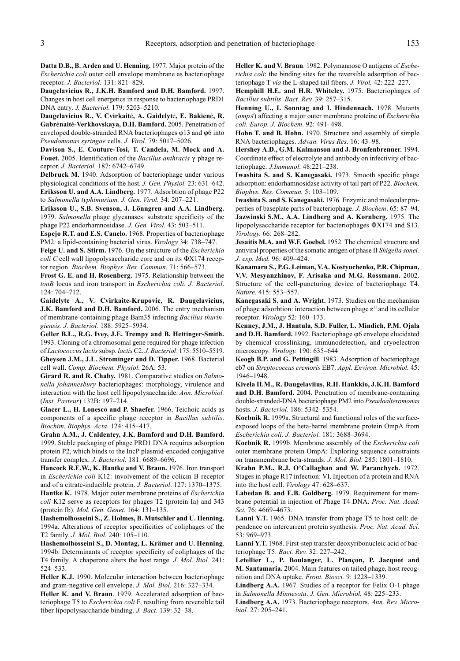Datta D.B., B. Arden and U. Henning. 1977. Major protein of the Escherichia coli outer cell envelope membrane as bacteriophage receptor. J. Bacteriol. 131: 821-829.

Daugelavicius R., J.K.H. Bamford and D.H. Bamford. 1997. Changes in host cell energetics in response to bacteriophage PRD1 DNA entry. J. Bacteriol. 179: 5203-5210.

Daugelavicius R., V. Cvirkaitė, A. Gaidelytė, E. Bakienė, R. Gabrėnaitė-Verkhovskaya, D.H. Bamford. 2005. Penetration of enveloped double-stranded RNA bacteriophages  $\varphi$ 13 and  $\varphi$ 6 into Pseudomonas syringae cells. J. Virol. 79: 5017-5026.

Davison S., E. Couture-Tosi, T. Candela, M. Mock and A. Fouet. 2005. Identification of the Bacillus anthracis  $\gamma$  phage receptor. J. Bacteriol. 187: 6742-6749.

Delbruck M. 1940. Adsorption of bacteriophage under various physiological conditions of the host. J. Gen. Physiol.  $23: 631-642$ . Eriksson U. and A.A. Lindberg. 1977. Adsorbtion of phage P22 to Salmonella typhimurium. J. Gen. Virol. 34: 207-221.

Eriksson U., S.B. Svenson, J. Lönngren and A.A. Lindberg. 1979. Salmonella phage glycanases: substrate specificity of the phage P22 endorhamnosidase. J. Gen. Virol. 43: 503-511.

Espejo R.T. and E.S. Canelo. 1968. Properties of bacteriophage PM2: a lipid-containing bacterial virus. Virology 34: 738-747.

Feige U. and S. Stirm. 1976. On the structure of the Escherichia *coli*  $C$  cell wall lipopolysaccharide core and on its  $\Phi$ X174 receptor region. Biochem. Biophys. Res. Commun. 71: 566-573.

Frost G. E. and H. Rosenberg. 1975. Relationship between the tonB locus and iron transport in Escherichia coli. J. Bacteriol. 124: 704-712.

Gaidelyte A., V. Cvirkaite-Krupovic, R. Daugelavicius, J.K. Bamford and D.H. Bamford. 2006. The entry mechanism of membrane-containing phage Bam35 infecting Bacillus thuringiensis. J. Bacteriol. 188: 5925-5934.

Geller B.L., R.G. Ivey, J.E. Trempy and B. Hettinger-Smith. 1993. Cloning of a chromosomal gene required for phage infection of Lactococcus lactis subsp. lactis C2. J. Bacteriol. 175: 5510-5519. Gheysen J.M., J.L. Strominger and D. Tipper. 1968. Bacterial cell wall. Comp. Biochem. Physiol. 26A: 53.

Girard R. and R. Chaby. 1981. Comparative studies on Salmonella johannesbury bacteriophages: morphology, virulence and interaction with the host cell lipopolysaccharide. Ann. Microbiol. (Inst. Pasteur) 132B: 197-214.

Glacer L., H. Lonesco and P. Shaefer. 1966. Teichoic acids as components of a specific phage receptor in Bacillus subtilis. Biochim. Biophys. Acta. 124: 415-417.

Grahn A.M., J. Caldentey, J.K. Bamford and D.H. Bamford. 1999. Stable packaging of phage PRD1 DNA requires adsorption protein P2, which binds to the IncP plasmid-encoded conjugative transfer complex. J. Bacteriol. 181: 6689-6696.

Hancock R.E.W., K. Hantke and V. Braun. 1976. Iron transport in Escherichia coli K12: involvement of the colicin B receptor and of a citrate-inducible protein. J. Bacteriol. 127: 1370-1375.

Hantke K. 1978. Major outer membrane proteins of *Escherichia* coli K12 serve as receptors for phages T2 (protein Ia) and 343 (protein Ib). Mol. Gen. Genet. 164: 131-135.

Hashemolhosseini S., Z. Holmes, B. Mutschler and U. Henning. 1994a. Alterations of receptor specificities of coliphages of the T2 family. J. Mol. Biol. 240: 105-110.

Hashemolhosseini S., D. Montag, L. Krämer and U. Henning. 1994b. Determinants of receptor specificity of coliphages of the T4 family. A chaperone alters the host range. J. Mol. Biol. 241: 524-533.

Heller K.J. 1990. Molecular interaction between bacteriophage and gram-negative cell envelope. J. Mol. Biol. 216: 327-334.

Heller K. and V. Braun. 1979. Accelerated adsorption of bacteriophage T5 to Escherichia coli F, resulting from reversible tail fiber lipopolysaccharide binding. J. Bact. 139: 32-38.

Heller K. and V. Braun. 1982. Polymannose O antigens of Escherichia coli: the binding sites for the reversible adsorption of bacteriophage T via the L-shaped tail fibers. J. Virol. 42: 222-227.

Hemphill H.E. and H.R. Whiteley. 1975. Bacteriophages of Bacillus subtilis. Bact. Rev. 39: 257-315.

Henning U., I. Sonntag and I. Hindennach. 1978. Mutants (ompA) affecting a major outer membrane proteine of Escherichia coli. Europ. J. Biochem. 92: 491-498.

Hohn T. and B. Hohn. 1970. Structure and assembly of simple RNA bacteriophages. Advan. Virus Res. 16: 43-98.

Hershey A.D., G.M. Kalmanson and J. Bronfenbrenner. 1994. Coordinate effect of electrolyte and antibody on infectivity of bacteriophage. J.Immunol. 48:221-238.

Iwashita S. and S. Kanegasaki. 1973. Smooth specific phage adsorption: endorhamnosidase activity of tail part of P22. Biochem. Biophys. Res. Commun. 5: 103-109.

Iwashita S. and S. Kanegasaki. 1976. Enzymic and molecular properties of baseplate parts of bacteriophage. J. Biochem. 65: 87-94. Jazwinski S.M., A.A. Lindberg and A. Kornberg. 1975. The lipopolysaccharide receptor for bacteriophages  $\Phi$ X174 and S13. Virology. 66: 268-282.

Jesaitis M.A. and W.F. Goebel. 1952. The chemical structure and antiviral properties of the somatic antigen of phase II Shigella sonei. J. exp. Med. 96: 409-424.

Kanamaru S., P.G. Leiman, V.A. Kostyuchenko, P.R. Chipman, V.V. Mesyanzhinov, F. Arisaka and M.G. Rossmann. 2002. Structure of the cell-puncturing device of bacteriophage T4. Nature. 415: 553-557.

Kanegasaki S. and A. Wright. 1973. Studies on the mechanism of phage adsorbtion: interaction between phage  $\varepsilon^{15}$  and its cellular receptor.  $Virology 52$ : 160-173.

Kenney, J.M., J. Hantula, S.D. Fuller, L. Mindich, P.M. Ojala and D.H. Bamford. 1992. Bacteriophage  $\varphi$ 6 envelope elucidated by chemical crosslinking, immunodetection, and cryoelectron microscopy. Virology. 190: 635-644

Keogh B.P. and G. Pettingill. 1983. Adsorption of bacteriophage eb7 on Streptococcus cremoris EB7. Appl. Environ. Microbiol. 45: 1946-1948.

Kivela H.M., R. Daugelaviius, R.H. Hankkio, J.K.H. Bamford and D.H. Bamford. 2004. Penetration of membrane-containing double-stranded-DNA bacteriophage PM2 into Pseudoalteromonas hosts. J. Bacteriol. 186: 5342-5354.

Koebnik R. 1999a. Structural and functional roles of the surfaceexposed loops of the beta-barrel membrane protein OmpA from Escherichia coli. J. Bacteriol. 181: 3688-3694.

Koebnik R. 1999b. Membrane assembly of the Escherichia coli outer membrane protein OmpA: Exploring sequence constraints on transmembrane beta-strands. J. Mol. Biol. 285: 1801-1810.

Krahn P.M., R.J. O'Callaghan and W. Paranchych. 1972. Stages in phage R17 infection: VI. Injection of a protein and RNA into the host cell. Virology 47: 628-637.

Labedan B. and E.B. Goldberg. 1979. Requirement for membrane potential in injection of Phage T4 DNA. Proc. Nat. Acad. Sci. 76: 4669-4673.

Lanni Y.T. 1965. DNA transfer from phage T5 to host cell: dependence on intercurrent protein synthesis. Proc. Nat. Acad. Sci.  $53:969 - 973$ .

Lanni Y.T. 1968. First-step transfer deoxyribonucleic acid of bacteriophage T5. Bact. Rev. 32: 227-242.

Letellier L., P. Boulanger, L. Plançon, P. Jacquot and M. Santamaria. 2004. Main features on tailed phage, host recognition and DNA uptake. Front. Biosci. 9: 1228-1339.

Lindberg A.A. 1967. Studies of a receptor for Felix O-1 phage in Salmonella Minnesota. J. Gen. Microbiol. 48: 225-233.

Lindberg A.A. 1973. Bacteriophage receptors. Ann. Rev. Microbiol. 27: 205-241.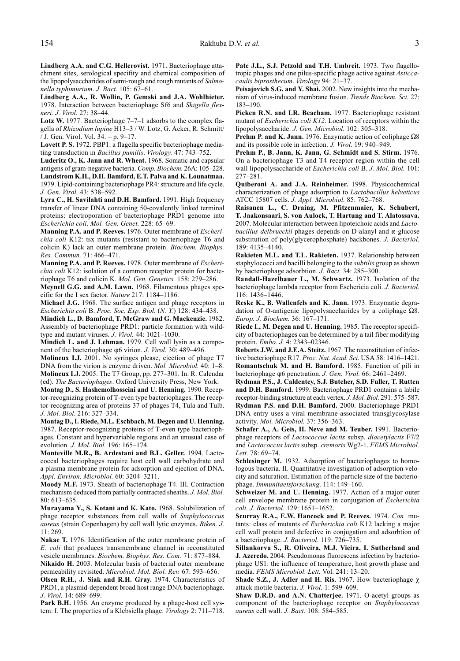Lindberg A.A. and C.G. Hellerovist. 1971. Bacteriophage attachment sites, serological specifity and chemical composition of the lipopolysaccharides of semi-rough and rough mutants of Salmonella typhimurium. J. Bact. 105: 67-61.

Lindberg A.A., R. Wollin, P. Gemski and J.A. Wohlhieter. 1978. Interaction between bacteriophage Sf6 and Shigella flexneri. J. Virol. 27: 38-44.

Lotz W. 1977. Bacteriophage  $7-7-1$  adsorbs to the complex flagella of Rhizodium lupine H13-3 / W. Lotz, G. Acker, R. Schmitt/ / J. Gen. Virol. Vol. 34.  $-p. 9-17$ .

Lovett P. S. 1972. PBP1: a flagella specific bacteriophage mediating transduction in Bacillus pumilis. Virology. 47: 743-752.

Luderitz O., K. Jann and R. Wheat. 1968. Somatic and capsular antigens of gram-negative bacteria. Comp. Biochem. 26A: 105-228. Lundstrom K.H., D.H. Bamford, E.T. Palva and K. Lounatmaa. 1979. Lipid-containing bacteriophage PR4: structure and life cycle. J. Gen. Virol. 43: 538-592.

Lyra C., H. Savilahti and D.H. Bamford. 1991. High frequency transfer of linear DNA containing 50-covalently linked terminal proteins: electroporation of bacteriophage PRD1 genome into Escherichia coli. Mol. Gen. Genet. 228: 65-69.

Manning P.A. and P. Reeves. 1976. Outer membrane of Escherichia coli K12: tsx mutants (resistant to bacteriophage T6 and colicin K) lack an outer membrane protein. Biochem. Biophys. Res. Commun. 71: 466-471.

Manning P.A. and P. Reeves. 1978. Outer membrane of Escherichia coli K12: isolation of a common receptor protein for bacteriophage T6 and colicin K. Mol. Gen. Genetics. 158: 279-286.

Meynell G.G. and A.M. Lawn. 1968. Filamentous phages specific for the I sex factor. Nature 217: 1184-1186.

Michael J.G. 1968. The surface antigen and phage receptors in Escherichia coli B. Proc. Soc. Exp. Biol. (N. Y.) 128: 434-438.

Mindich L., D. Bamford, T. McGraw and G. Mackenzie. 1982. Assembly of bacteriophage PRD1: particle formation with wildtype and mutant viruses.  $J.$  Virol. 44: 1021-1030.

Mindich L. and J. Lehman. 1979. Cell wall lysin as a component of the bacteriophage φ6 virion. J. Virol. 30: 489-496.

Molineux I.J. 2001. No syringes please, ejection of phage T7 DNA from the virion is enzyme driven. Mol. Microbiol. 40: 1-8. Molineux I.J. 2005. The T7 Group, pp. 277-301. In: R. Calendar (ed). The Bacteriophages. Oxford University Press, New York.

Montag D., S. Hashemolhosseini and U. Henning. 1990. Receptor-recognizing protein of T-even type bacteriophages. The receptor-recognizing area of proteins 37 of phages T4, Tula and Tulb. J. Mol. Biol. 216: 327-334.

Montag D., I. Riede, M.L. Eschbach, M. Degen and U. Henning. 1987. Receptor-recognizing proteins of T-even type bacteriophages. Constant and hypervariable regions and an unusual case of evolution. *J. Mol. Biol.* 196: 165-174.

Monteville M.R., B. Ardestani and B.L. Geller. 1994. Lactococcal bacteriophages require host cell wall carbohydrate and a plasma membrane protein for adsorption and ejection of DNA. Appl. Environ. Microbiol. 60: 3204-3211.

Moody M.F. 1973. Sheath of bacteriophage T4. III. Contraction mechanism deduced from partially contracted sheaths. J. Mol. Biol.  $80: 613 - 635.$ 

Murayama Y., S. Kotani and K. Kato. 1968. Solubilization of phage receptor substances from cell walls of Staphylococcus aureus (strain Copenhagen) by cell wall lytic enzymes. Biken. J. 11: 269.

Nakae T. 1976. Identification of the outer membrane protein of E. coli that produces transmembrane channel in reconstituted vesicle membranes. Biochem. Biophys. Res. Com. 71: 877-884.

Nikaido H. 2003. Molecular basis of bacterial outer membrane permeability revisited. Microbiol. Mol. Biol. Rev. 67: 593-656.

Olsen R.H., J. Siak and R.H. Gray. 1974. Characteristics of PRD1, a plasmid-dependent broad host range DNA bacteriophage. J. Virol. 14: 689-699.

Park B.H. 1956. An enzyme produced by a phage-host cell system: I. The properties of a Klebsiella phage. Virology 2: 711-718. Pate J.L., S.J. Petzold and T.H. Umbreit. 1973. Two flagellotropic phages and one pilus-specific phage active against Asticcacaulis biprosthecum. Virology 94: 21-37.

Peisajovich S.G. and Y. Shai. 2002. New insights into the mechanism of virus-induced membrane fusion. Trends Biochem. Sci. 27: 183-190.

Picken R.N. and I.R. Beacham. 1977. Bacteriophage resistant mutant of Escherichia coli K12. Location of receptors within the lipopolysaccharide. J. Gen. Microbiol. 102: 305-318.

Prehm P. and K. Jann. 1976. Enzymatic action of coliphage  $\Omega$ 8 and its possible role in infection. J. Virol. 19: 940–949.

Prehm P., B. Jann, K. Jann, G. Schmidt and S. Stirm. 1976. On a bacteriophage T3 and T4 receptor region within the cell wall lipopolysaccharide of Escherichia coli B. J. Mol. Biol. 101: 277-281.

Quiberoni A. and J.A. Reinheimer. 1998. Physicochemical characterization of phage adsorption to Lactobacillus helveticus ATCC 15807 cells. J. Appl. Microbiol. 85: 762-768.

Raisanen L., C. Draing, M. Pfitzenmaier, K. Schubert, T. Jaakonsaari, S. von Aulock, T. Hartung and T. Alatossava. 2007. Molecular interaction between lipoteichoic acids and Lactobacillus delbrueckii phages depends on D-alanyl and  $\alpha$ -glucose substitution of poly(glycerophosphate) backbones. J. Bacteriol. 189: 41354140.

Rakieten M.L. and T.L. Rakieten. 1937. Relationship between staphylococci and bacilli belonging to the subtilis group as shown by bacteriophage adsorbtion. *J. Bact.* 34: 285–300.

Randall-Hazelbauer L., M. Schwartz. 1973. Isolation of the bacteriophage lambda receptor from Eschericia coli. J. Bacteriol. 116: 1436-1446.

Reske K., B. Wallenfels and K. Jann. 1973. Enzymatic degradation of O-antigenic lipopolysaccharides by a coliphage  $\Omega$ 8. Europ. J. Biochem. 36: 167-171.

Riede I., M. Degen and U. Henning. 1985. The receptor specificity of bacteriophages can be determined by a tail fiber modifying protein. Embo. J. 4: 2343-02346.

Roberts J.W. and J.E.A. Steitz. 1967. The reconstitution of infective bacteriophage R17. Proc. Nat. Acad. Sci. USA 58: 1416-1421. Romantschuk M. and H. Bamford. 1985. Function of pili in bacteriophage  $\varphi$ 6 penetration. J. Gen. Virol. 66: 2461-2469.

Rydman P.S., J. Caldentey, S.J. Butcher, S.D. Fuller, T. Rutten and D.H. Bamford. 1999. Bacteriophage PRD1 contains a labile receptor-binding structure at each vertex. J. Mol. Biol. 291: 575–587. Rydman P.S. and D.H. Bamford. 2000. Bacteriophage PRD1 DNA entry uses a viral membrane-associated transglycosylase activity. Mol. Microbiol. 37: 356-363.

Schafer A., A. Geis, H. Neve and M. Teuber. 1991. Bacteriophage receptors of Lactococcus lactis subsp. diacetylactis F7/2 and Lactococcus lactis subsp. cremoris Wg2-1. FEMS Microbiol. Lett. 78: 69-74.

Schlesinger M. 1932. Adsorption of bacteriophages to homologous bacteria. II. Quantitative investigation of adsorption velocity and saturation. Estimation of the particle size of the bacteriophage. Immunitaetsforschung. 114: 149-160.

Schweizer M. and U. Henning. 1977. Action of a major outer cell envelope membrane protein in conjugation of Escherichia coli. J. Bacteriol. 129: 1651-1652.

Scurray R.A., E.W. Hancock and P. Reeves. 1974. Con-mutants: class of mutants of Escherichia coli K12 lacking a major cell wall protein and defective in conjugation and adsorbtion of a bacteriophage. J. Bacteriol. 119: 726-735.

Sillankorva S., R. Oliveira, M.J. Vieira, I. Sutherland and J. Azeredo. 2004. Pseudomonas fluorescens infection by bacteriophage US1: the influence of temperature, host growth phase and media. FEMS Microbiol. Lett. Vol. 241: 13-20.

Shade S.Z., J. Adler and H. Ris. 1967. How bacteriophage  $\chi$ attack motile bacteria. J. Virol. 1: 599-609.

Shaw D.R.D. and A.N. Chatterjee. 1971. O-acetyl groups as component of the bacteriophage receptor on Staphylococcus aureus cell wall. J. Bact. 108: 584-585.